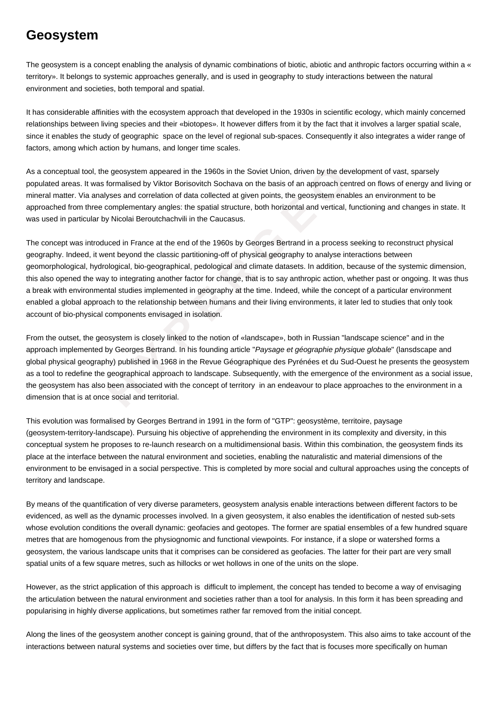## **Geosystem**

The geosystem is a concept enabling the analysis of dynamic combinations of biotic, abiotic and anthropic factors occurring within a « territory». It belongs to systemic approaches generally, and is used in geography to study interactions between the natural environment and societies, both temporal and spatial.

It has considerable affinities with the ecosystem approach that developed in the 1930s in scientific ecology, which mainly concerned relationships between living species and their «biotopes». It however differs from it by the fact that it involves a larger spatial scale, since it enables the study of geographic space on the level of regional sub-spaces. Consequently it also integrates a wider range of factors, among which action by humans, and longer time scales.

As a conceptual tool, the geosystem appeared in the 1960s in the Soviet Union, driven by the development of vast, sparsely populated areas. It was formalised by Viktor Borisovitch Sochava on the basis of an approach centred on flows of energy and living or mineral matter. Via analyses and correlation of data collected at given points, the geosystem enables an environment to be approached from three complementary angles: the spatial structure, both horizontal and vertical, functioning and changes in state. It was used in particular by Nicolai Beroutchachvili in the Caucasus.

tool, the geosystem appeared in the 1960s in the Soviet Union, driven by the develo<br>
It was formalised by Viktor Borisovitch Sochawa on the basis of an approach centre<br>
it analyses and correlation of data collected at give The concept was introduced in France at the end of the 1960s by Georges Bertrand in a process seeking to reconstruct physical geography. Indeed, it went beyond the classic partitioning-off of physical geography to analyse interactions between geomorphological, hydrological, bio-geographical, pedological and climate datasets. In addition, because of the systemic dimension, this also opened the way to integrating another factor for change, that is to say anthropic action, whether past or ongoing. It was thus a break with environmental studies implemented in geography at the time. Indeed, while the concept of a particular environment enabled a global approach to the relationship between humans and their living environments, it later led to studies that only took account of bio-physical components envisaged in isolation.

From the outset, the geosystem is closely linked to the notion of «landscape», both in Russian "landscape science" and in the approach implemented by Georges Bertrand. In his founding article "Paysage et géographie physique globale" (lansdscape and global physical geography) published in 1968 in the Revue Géographique des Pyrénées et du Sud-Ouest he presents the geosystem as a tool to redefine the geographical approach to landscape. Subsequently, with the emergence of the environment as a social issue, the geosystem has also been associated with the concept of territory in an endeavour to place approaches to the environment in a dimension that is at once social and territorial.

This evolution was formalised by Georges Bertrand in 1991 in the form of "GTP": geosystème, territoire, paysage (geosystem-territory-landscape). Pursuing his objective of apprehending the environment in its complexity and diversity, in this conceptual system he proposes to re-launch research on a multidimensional basis. Within this combination, the geosystem finds its place at the interface between the natural environment and societies, enabling the naturalistic and material dimensions of the environment to be envisaged in a social perspective. This is completed by more social and cultural approaches using the concepts of territory and landscape.

By means of the quantification of very diverse parameters, geosystem analysis enable interactions between different factors to be evidenced, as well as the dynamic processes involved. In a given geosystem, it also enables the identification of nested sub-sets whose evolution conditions the overall dynamic: geofacies and geotopes. The former are spatial ensembles of a few hundred square metres that are homogenous from the physiognomic and functional viewpoints. For instance, if a slope or watershed forms a geosystem, the various landscape units that it comprises can be considered as geofacies. The latter for their part are very small spatial units of a few square metres, such as hillocks or wet hollows in one of the units on the slope.

However, as the strict application of this approach is difficult to implement, the concept has tended to become a way of envisaging the articulation between the natural environment and societies rather than a tool for analysis. In this form it has been spreading and popularising in highly diverse applications, but sometimes rather far removed from the initial concept.

Along the lines of the geosystem another concept is gaining ground, that of the anthroposystem. This also aims to take account of the interactions between natural systems and societies over time, but differs by the fact that is focuses more specifically on human